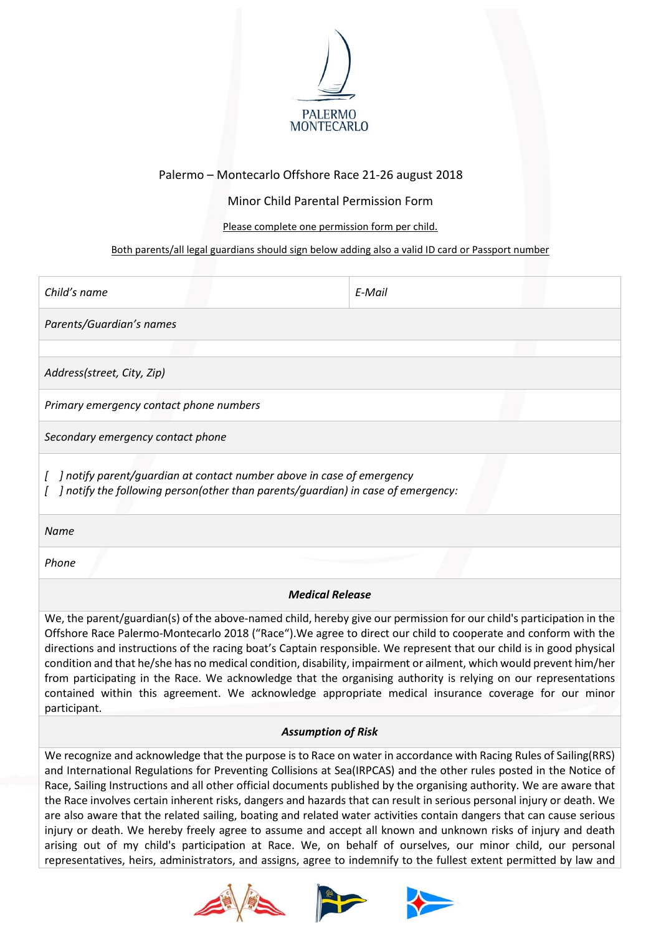

## Palermo – Montecarlo Offshore Race 21-26 august 2018

Minor Child Parental Permission Form

Please complete one permission form per child.

## Both parents/all legal guardians should sign below adding also a valid ID card or Passport number

| Child's name                                                                                                                                                                                                                                                                                                                                                                                                                                                                                                                                                                                                                                                                                                                    | E-Mail |  |
|---------------------------------------------------------------------------------------------------------------------------------------------------------------------------------------------------------------------------------------------------------------------------------------------------------------------------------------------------------------------------------------------------------------------------------------------------------------------------------------------------------------------------------------------------------------------------------------------------------------------------------------------------------------------------------------------------------------------------------|--------|--|
| Parents/Guardian's names                                                                                                                                                                                                                                                                                                                                                                                                                                                                                                                                                                                                                                                                                                        |        |  |
|                                                                                                                                                                                                                                                                                                                                                                                                                                                                                                                                                                                                                                                                                                                                 |        |  |
| Address(street, City, Zip)                                                                                                                                                                                                                                                                                                                                                                                                                                                                                                                                                                                                                                                                                                      |        |  |
| Primary emergency contact phone numbers                                                                                                                                                                                                                                                                                                                                                                                                                                                                                                                                                                                                                                                                                         |        |  |
| Secondary emergency contact phone                                                                                                                                                                                                                                                                                                                                                                                                                                                                                                                                                                                                                                                                                               |        |  |
| ] notify parent/guardian at contact number above in case of emergency<br>] notify the following person(other than parents/guardian) in case of emergency:                                                                                                                                                                                                                                                                                                                                                                                                                                                                                                                                                                       |        |  |
| Name                                                                                                                                                                                                                                                                                                                                                                                                                                                                                                                                                                                                                                                                                                                            |        |  |
| Phone                                                                                                                                                                                                                                                                                                                                                                                                                                                                                                                                                                                                                                                                                                                           |        |  |
| <b>Medical Release</b>                                                                                                                                                                                                                                                                                                                                                                                                                                                                                                                                                                                                                                                                                                          |        |  |
| We, the parent/guardian(s) of the above-named child, hereby give our permission for our child's participation in the<br>Offshore Race Palermo-Montecarlo 2018 ("Race"). We agree to direct our child to cooperate and conform with the<br>directions and instructions of the racing boat's Captain responsible. We represent that our child is in good physical<br>condition and that he/she has no medical condition, disability, impairment or ailment, which would prevent him/her<br>from participating in the Race. We acknowledge that the organising authority is relying on our representations<br>contained within this agreement. We acknowledge appropriate medical insurance coverage for our minor<br>participant. |        |  |
| <b>Assumption of Risk</b>                                                                                                                                                                                                                                                                                                                                                                                                                                                                                                                                                                                                                                                                                                       |        |  |
| We recognize and acknowledge that the purpose is to Race on water in accordance with Racing Rules of Sailing(RRS)<br>and International Regulations for Preventing Collisions at Sea(IRPCAS) and the other rules posted in the Notice of                                                                                                                                                                                                                                                                                                                                                                                                                                                                                         |        |  |

Race, Sailing Instructions and all other official documents published by the organising authority. We are aware that the Race involves certain inherent risks, dangers and hazards that can result in serious personal injury or death. We are also aware that the related sailing, boating and related water activities contain dangers that can cause serious injury or death. We hereby freely agree to assume and accept all known and unknown risks of injury and death arising out of my child's participation at Race. We, on behalf of ourselves, our minor child, our personal representatives, heirs, administrators, and assigns, agree to indemnify to the fullest extent permitted by law and